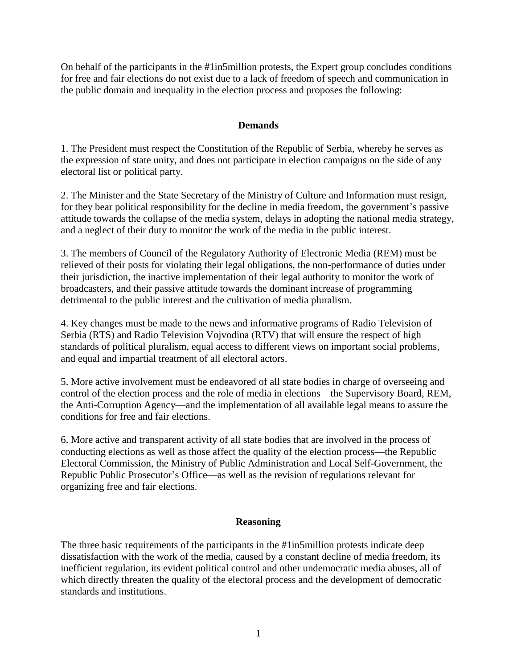On behalf of the participants in the #1in5million protests, the Expert group concludes conditions for free and fair elections do not exist due to a lack of freedom of speech and communication in the public domain and inequality in the election process and proposes the following:

### **Demands**

1. The President must respect the Constitution of the Republic of Serbia, whereby he serves as the expression of state unity, and does not participate in election campaigns on the side of any electoral list or political party.

2. The Minister and the State Secretary of the Ministry of Culture and Information must resign, for they bear political responsibility for the decline in media freedom, the government's passive attitude towards the collapse of the media system, delays in adopting the national media strategy, and a neglect of their duty to monitor the work of the media in the public interest.

3. The members of Council of the Regulatory Authority of Electronic Media (REM) must be relieved of their posts for violating their legal obligations, the non-performance of duties under their jurisdiction, the inactive implementation of their legal authority to monitor the work of broadcasters, and their passive attitude towards the dominant increase of programming detrimental to the public interest and the cultivation of media pluralism.

4. Key changes must be made to the news and informative programs of Radio Television of Serbia (RTS) and Radio Television Vojvodina (RTV) that will ensure the respect of high standards of political pluralism, equal access to different views on important social problems, and equal and impartial treatment of all electoral actors.

5. More active involvement must be endeavored of all state bodies in charge of overseeing and control of the election process and the role of media in elections—the Supervisory Board, REM, the Anti-Corruption Agency—and the implementation of all available legal means to assure the conditions for free and fair elections.

6. More active and transparent activity of all state bodies that are involved in the process of conducting elections as well as those affect the quality of the election process—the Republic Electoral Commission, the Ministry of Public Administration and Local Self-Government, the Republic Public Prosecutor's Office—as well as the revision of regulations relevant for organizing free and fair elections.

### **Reasoning**

The three basic requirements of the participants in the #1in5million protests indicate deep dissatisfaction with the work of the media, caused by a constant decline of media freedom, its inefficient regulation, its evident political control and other undemocratic media abuses, all of which directly threaten the quality of the electoral process and the development of democratic standards and institutions.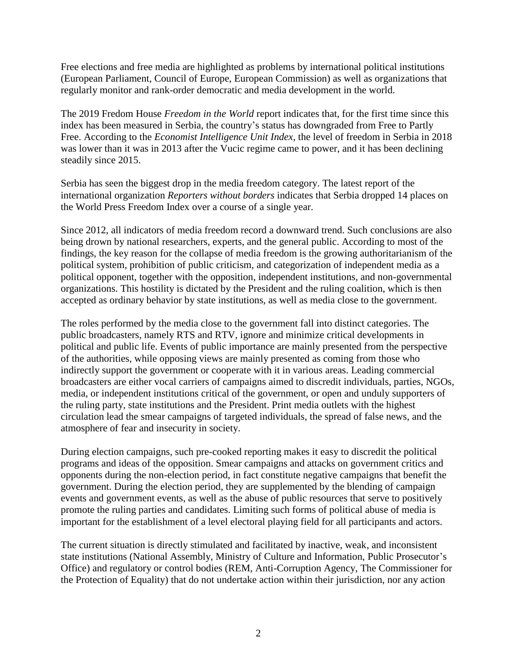Free elections and free media are highlighted as problems by international political institutions (European Parliament, Council of Europe, European Commission) as well as organizations that regularly monitor and rank-order democratic and media development in the world.

The 2019 Fredom House *Freedom in the World* report indicates that, for the first time since this index has been measured in Serbia, the country's status has downgraded from Free to Partly Free. According to the *Economist Intelligence Unit Index*, the level of freedom in Serbia in 2018 was lower than it was in 2013 after the Vucic regime came to power, and it has been declining steadily since 2015.

Serbia has seen the biggest drop in the media freedom category. The latest report of the international organization *Reporters without borders* indicates that Serbia dropped 14 places on the World Press Freedom Index over a course of a single year.

Since 2012, all indicators of media freedom record a downward trend. Such conclusions are also being drown by national researchers, experts, and the general public. According to most of the findings, the key reason for the collapse of media freedom is the growing authoritarianism of the political system, prohibition of public criticism, and categorization of independent media as a political opponent, together with the opposition, independent institutions, and non-governmental organizations. This hostility is dictated by the President and the ruling coalition, which is then accepted as ordinary behavior by state institutions, as well as media close to the government.

The roles performed by the media close to the government fall into distinct categories. The public broadcasters, namely RTS and RTV, ignore and minimize critical developments in political and public life. Events of public importance are mainly presented from the perspective of the authorities, while opposing views are mainly presented as coming from those who indirectly support the government or cooperate with it in various areas. Leading commercial broadcasters are either vocal carriers of campaigns aimed to discredit individuals, parties, NGOs, media, or independent institutions critical of the government, or open and unduly supporters of the ruling party, state institutions and the President. Print media outlets with the highest circulation lead the smear campaigns of targeted individuals, the spread of false news, and the atmosphere of fear and insecurity in society.

During election campaigns, such pre-cooked reporting makes it easy to discredit the political programs and ideas of the opposition. Smear campaigns and attacks on government critics and opponents during the non-election period, in fact constitute negative campaigns that benefit the government. During the election period, they are supplemented by the blending of campaign events and government events, as well as the abuse of public resources that serve to positively promote the ruling parties and candidates. Limiting such forms of political abuse of media is important for the establishment of a level electoral playing field for all participants and actors.

The current situation is directly stimulated and facilitated by inactive, weak, and inconsistent state institutions (National Assembly, Ministry of Culture and Information, Public Prosecutor's Office) and regulatory or control bodies (REM, Anti-Corruption Agency, The Commissioner for the Protection of Equality) that do not undertake action within their jurisdiction, nor any action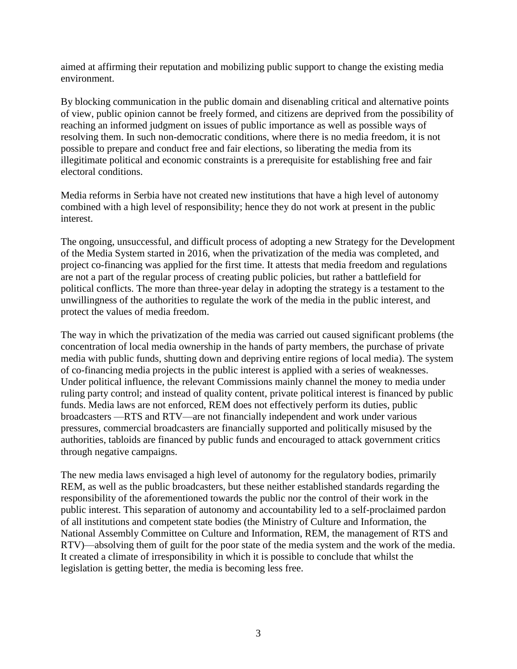aimed at affirming their reputation and mobilizing public support to change the existing media environment.

By blocking communication in the public domain and disenabling critical and alternative points of view, public opinion cannot be freely formed, and citizens are deprived from the possibility of reaching an informed judgment on issues of public importance as well as possible ways of resolving them. In such non-democratic conditions, where there is no media freedom, it is not possible to prepare and conduct free and fair elections, so liberating the media from its illegitimate political and economic constraints is a prerequisite for establishing free and fair electoral conditions.

Media reforms in Serbia have not created new institutions that have a high level of autonomy combined with a high level of responsibility; hence they do not work at present in the public interest.

The ongoing, unsuccessful, and difficult process of adopting a new Strategy for the Development of the Media System started in 2016, when the privatization of the media was completed, and project co-financing was applied for the first time. It attests that media freedom and regulations are not a part of the regular process of creating public policies, but rather a battlefield for political conflicts. The more than three-year delay in adopting the strategy is a testament to the unwillingness of the authorities to regulate the work of the media in the public interest, and protect the values of media freedom.

The way in which the privatization of the media was carried out caused significant problems (the concentration of local media ownership in the hands of party members, the purchase of private media with public funds, shutting down and depriving entire regions of local media). The system of co-financing media projects in the public interest is applied with a series of weaknesses. Under political influence, the relevant Commissions mainly channel the money to media under ruling party control; and instead of quality content, private political interest is financed by public funds. Media laws are not enforced, REM does not effectively perform its duties, public broadcasters —RTS and RTV—are not financially independent and work under various pressures, commercial broadcasters are financially supported and politically misused by the authorities, tabloids are financed by public funds and encouraged to attack government critics through negative campaigns.

The new media laws envisaged a high level of autonomy for the regulatory bodies, primarily REM, as well as the public broadcasters, but these neither established standards regarding the responsibility of the aforementioned towards the public nor the control of their work in the public interest. This separation of autonomy and accountability led to a self-proclaimed pardon of all institutions and competent state bodies (the Ministry of Culture and Information, the National Assembly Committee on Culture and Information, REM, the management of RTS and RTV)—absolving them of guilt for the poor state of the media system and the work of the media. It created a climate of irresponsibility in which it is possible to conclude that whilst the legislation is getting better, the media is becoming less free.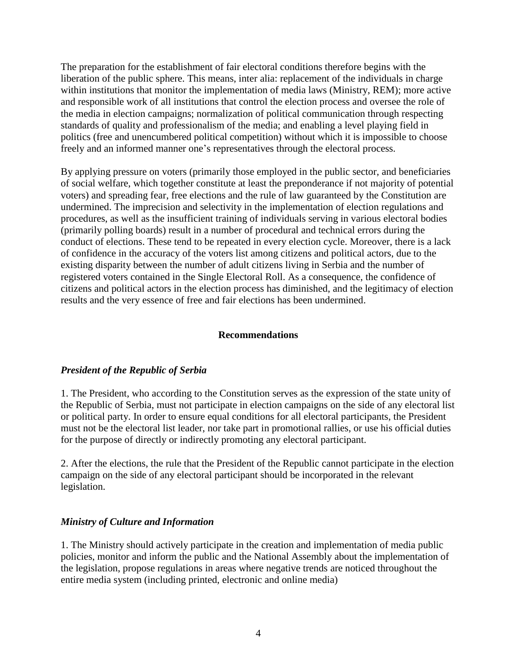The preparation for the establishment of fair electoral conditions therefore begins with the liberation of the public sphere. This means, inter alia: replacement of the individuals in charge within institutions that monitor the implementation of media laws (Ministry, REM); more active and responsible work of all institutions that control the election process and oversee the role of the media in election campaigns; normalization of political communication through respecting standards of quality and professionalism of the media; and enabling a level playing field in politics (free and unencumbered political competition) without which it is impossible to choose freely and an informed manner one's representatives through the electoral process.

By applying pressure on voters (primarily those employed in the public sector, and beneficiaries of social welfare, which together constitute at least the preponderance if not majority of potential voters) and spreading fear, free elections and the rule of law guaranteed by the Constitution are undermined. The imprecision and selectivity in the implementation of election regulations and procedures, as well as the insufficient training of individuals serving in various electoral bodies (primarily polling boards) result in a number of procedural and technical errors during the conduct of elections. These tend to be repeated in every election cycle. Moreover, there is a lack of confidence in the accuracy of the voters list among citizens and political actors, due to the existing disparity between the number of adult citizens living in Serbia and the number of registered voters contained in the Single Electoral Roll. As a consequence, the confidence of citizens and political actors in the election process has diminished, and the legitimacy of election results and the very essence of free and fair elections has been undermined.

### **Recommendations**

### *President of the Republic of Serbia*

1. The President, who according to the Constitution serves as the expression of the state unity of the Republic of Serbia, must not participate in election campaigns on the side of any electoral list or political party. In order to ensure equal conditions for all electoral participants, the President must not be the electoral list leader, nor take part in promotional rallies, or use his official duties for the purpose of directly or indirectly promoting any electoral participant.

2. After the elections, the rule that the President of the Republic cannot participate in the election campaign on the side of any electoral participant should be incorporated in the relevant legislation.

### *Ministry of Culture and Information*

1. The Ministry should actively participate in the creation and implementation of media public policies, monitor and inform the public and the National Assembly about the implementation of the legislation, propose regulations in areas where negative trends are noticed throughout the entire media system (including printed, electronic and online media)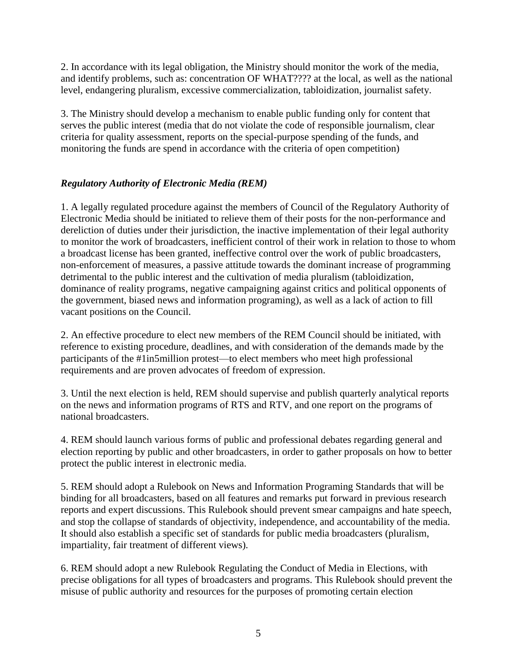2. In accordance with its legal obligation, the Ministry should monitor the work of the media, and identify problems, such as: concentration OF WHAT???? at the local, as well as the national level, endangering pluralism, excessive commercialization, tabloidization, journalist safety.

3. The Ministry should develop a mechanism to enable public funding only for content that serves the public interest (media that do not violate the code of responsible journalism, clear criteria for quality assessment, reports on the special-purpose spending of the funds, and monitoring the funds are spend in accordance with the criteria of open competition)

# *Regulatory Authority of Electronic Media (REM)*

1. A legally regulated procedure against the members of Council of the Regulatory Authority of Electronic Media should be initiated to relieve them of their posts for the non-performance and dereliction of duties under their jurisdiction, the inactive implementation of their legal authority to monitor the work of broadcasters, inefficient control of their work in relation to those to whom a broadcast license has been granted, ineffective control over the work of public broadcasters, non-enforcement of measures, a passive attitude towards the dominant increase of programming detrimental to the public interest and the cultivation of media pluralism (tabloidization, dominance of reality programs, negative campaigning against critics and political opponents of the government, biased news and information programing), as well as a lack of action to fill vacant positions on the Council.

2. An effective procedure to elect new members of the REM Council should be initiated, with reference to existing procedure, deadlines, and with consideration of the demands made by the participants of the #1in5million protest—to elect members who meet high professional requirements and are proven advocates of freedom of expression.

3. Until the next election is held, REM should supervise and publish quarterly analytical reports on the news and information programs of RTS and RTV, and one report on the programs of national broadcasters.

4. REM should launch various forms of public and professional debates regarding general and election reporting by public and other broadcasters, in order to gather proposals on how to better protect the public interest in electronic media.

5. REM should adopt a Rulebook on News and Information Programing Standards that will be binding for all broadcasters, based on all features and remarks put forward in previous research reports and expert discussions. This Rulebook should prevent smear campaigns and hate speech, and stop the collapse of standards of objectivity, independence, and accountability of the media. It should also establish a specific set of standards for public media broadcasters (pluralism, impartiality, fair treatment of different views).

6. REM should adopt a new Rulebook Regulating the Conduct of Media in Elections, with precise obligations for all types of broadcasters and programs. This Rulebook should prevent the misuse of public authority and resources for the purposes of promoting certain election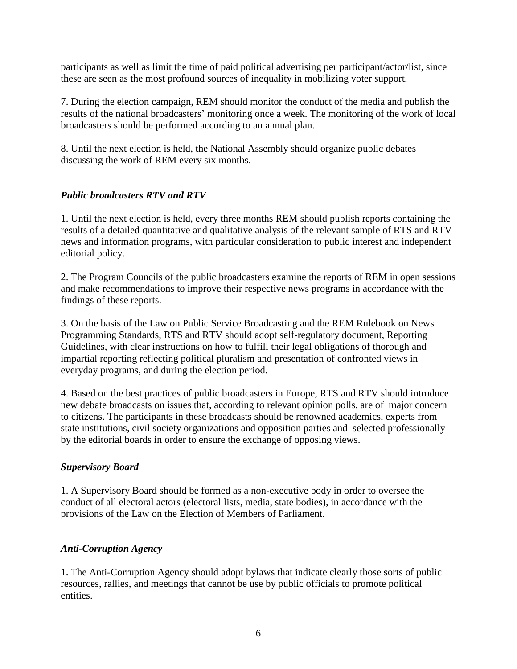participants as well as limit the time of paid political advertising per participant/actor/list, since these are seen as the most profound sources of inequality in mobilizing voter support.

7. During the election campaign, REM should monitor the conduct of the media and publish the results of the national broadcasters' monitoring once a week. The monitoring of the work of local broadcasters should be performed according to an annual plan.

8. Until the next election is held, the National Assembly should organize public debates discussing the work of REM every six months.

# *Public broadcasters RTV and RTV*

1. Until the next election is held, every three months REM should publish reports containing the results of a detailed quantitative and qualitative analysis of the relevant sample of RTS and RTV news and information programs, with particular consideration to public interest and independent editorial policy.

2. The Program Councils of the public broadcasters examine the reports of REM in open sessions and make recommendations to improve their respective news programs in accordance with the findings of these reports.

3. On the basis of the Law on Public Service Broadcasting and the REM Rulebook on News Programming Standards, RTS and RTV should adopt self-regulatory document, Reporting Guidelines, with clear instructions on how to fulfill their legal obligations of thorough and impartial reporting reflecting political pluralism and presentation of confronted views in everyday programs, and during the election period.

4. Based on the best practices of public broadcasters in Europe, RTS and RTV should introduce new debate broadcasts on issues that, according to relevant opinion polls, are of major concern to citizens. The participants in these broadcasts should be renowned academics, experts from state institutions, civil society organizations and opposition parties and selected professionally by the editorial boards in order to ensure the exchange of opposing views.

# *Supervisory Board*

1. A Supervisory Board should be formed as a non-executive body in order to oversee the conduct of all electoral actors (electoral lists, media, state bodies), in accordance with the provisions of the Law on the Election of Members of Parliament.

# *Anti-Corruption Agency*

1. The Anti-Corruption Agency should adopt bylaws that indicate clearly those sorts of public resources, rallies, and meetings that cannot be use by public officials to promote political entities.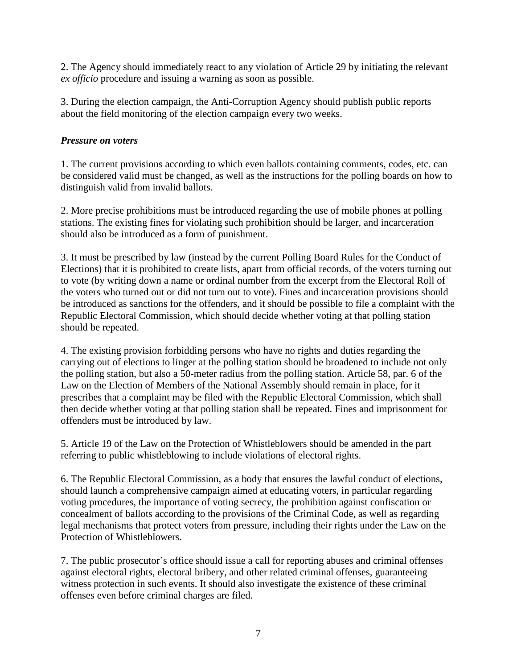2. The Agency should immediately react to any violation of Article 29 by initiating the relevant *ex officio* procedure and issuing a warning as soon as possible.

3. During the election campaign, the Anti-Corruption Agency should publish public reports about the field monitoring of the election campaign every two weeks.

### *Pressure on voters*

1. The current provisions according to which even ballots containing comments, codes, etc. can be considered valid must be changed, as well as the instructions for the polling boards on how to distinguish valid from invalid ballots.

2. More precise prohibitions must be introduced regarding the use of mobile phones at polling stations. The existing fines for violating such prohibition should be larger, and incarceration should also be introduced as a form of punishment.

3. It must be prescribed by law (instead by the current Polling Board Rules for the Conduct of Elections) that it is prohibited to create lists, apart from official records, of the voters turning out to vote (by writing down a name or ordinal number from the excerpt from the Electoral Roll of the voters who turned out or did not turn out to vote). Fines and incarceration provisions should be introduced as sanctions for the offenders, and it should be possible to file a complaint with the Republic Electoral Commission, which should decide whether voting at that polling station should be repeated.

4. The existing provision forbidding persons who have no rights and duties regarding the carrying out of elections to linger at the polling station should be broadened to include not only the polling station, but also a 50-meter radius from the polling station. Article 58, par. 6 of the Law on the Election of Members of the National Assembly should remain in place, for it prescribes that a complaint may be filed with the Republic Electoral Commission, which shall then decide whether voting at that polling station shall be repeated. Fines and imprisonment for offenders must be introduced by law.

5. Article 19 of the Law on the Protection of Whistleblowers should be amended in the part referring to public whistleblowing to include violations of electoral rights.

6. The Republic Electoral Commission, as a body that ensures the lawful conduct of elections, should launch a comprehensive campaign aimed at educating voters, in particular regarding voting procedures, the importance of voting secrecy, the prohibition against confiscation or concealment of ballots according to the provisions of the Criminal Code, as well as regarding legal mechanisms that protect voters from pressure, including their rights under the Law on the Protection of Whistleblowers.

7. The public prosecutor's office should issue a call for reporting abuses and criminal offenses against electoral rights, electoral bribery, and other related criminal offenses, guaranteeing witness protection in such events. It should also investigate the existence of these criminal offenses even before criminal charges are filed.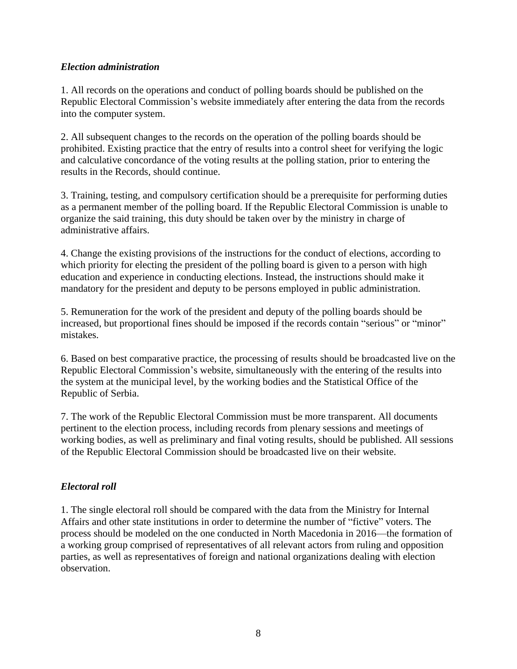### *Election administration*

1. All records on the operations and conduct of polling boards should be published on the Republic Electoral Commission's website immediately after entering the data from the records into the computer system.

2. All subsequent changes to the records on the operation of the polling boards should be prohibited. Existing practice that the entry of results into a control sheet for verifying the logic and calculative concordance of the voting results at the polling station, prior to entering the results in the Records, should continue.

3. Training, testing, and compulsory certification should be a prerequisite for performing duties as a permanent member of the polling board. If the Republic Electoral Commission is unable to organize the said training, this duty should be taken over by the ministry in charge of administrative affairs.

4. Change the existing provisions of the instructions for the conduct of elections, according to which priority for electing the president of the polling board is given to a person with high education and experience in conducting elections. Instead, the instructions should make it mandatory for the president and deputy to be persons employed in public administration.

5. Remuneration for the work of the president and deputy of the polling boards should be increased, but proportional fines should be imposed if the records contain "serious" or "minor" mistakes.

6. Based on best comparative practice, the processing of results should be broadcasted live on the Republic Electoral Commission's website, simultaneously with the entering of the results into the system at the municipal level, by the working bodies and the Statistical Office of the Republic of Serbia.

7. The work of the Republic Electoral Commission must be more transparent. All documents pertinent to the election process, including records from plenary sessions and meetings of working bodies, as well as preliminary and final voting results, should be published. All sessions of the Republic Electoral Commission should be broadcasted live on their website.

# *Electoral roll*

1. The single electoral roll should be compared with the data from the Ministry for Internal Affairs and other state institutions in order to determine the number of "fictive" voters. The process should be modeled on the one conducted in North Macedonia in 2016—the formation of a working group comprised of representatives of all relevant actors from ruling and opposition parties, as well as representatives of foreign and national organizations dealing with election observation.